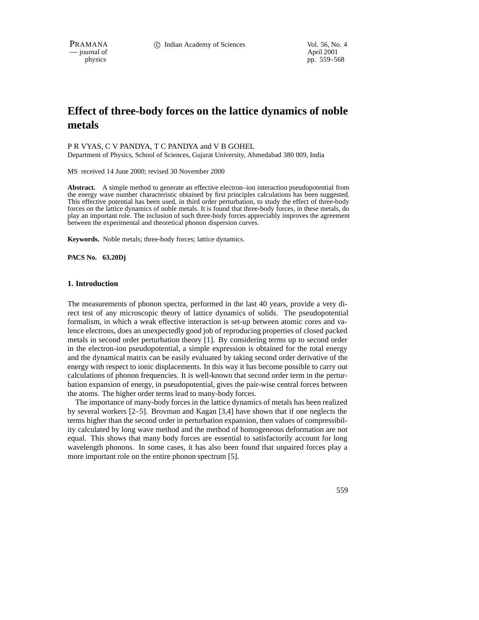PRAMANA 
<sup>c</sup> Indian Academy of Sciences Vol. 56, No. 4<br>
- journal of April 2001

 $-$  journal of

physics pp. 559–568

# **Effect of three-body forces on the lattice dynamics of noble metals**

P R VYAS, C V PANDYA, T C PANDYA and V B GOHEL

Department of Physics, School of Sciences, Gujarat University, Ahmedabad 380 009, India

MS received 14 June 2000; revised 30 November 2000

**Abstract.** A simple method to generate an effective electron–ion interaction pseudopotential from the energy wave number characteristic obtained by first principles calculations has been suggested. This effective potential has been used, in third order perturbation, to study the effect of three-body forces on the lattice dynamics of noble metals. It is found that three-body forces, in these metals, do play an important role. The inclusion of such three-body forces appreciably improves the agreement between the experimental and theoretical phonon dispersion curves.

**Keywords.** Noble metals; three-body forces; lattice dynamics.

**PACS No. 63.20Dj**

## **1. Introduction**

The measurements of phonon spectra, performed in the last 40 years, provide a very direct test of any microscopic theory of lattice dynamics of solids. The pseudopotential formalism, in which a weak effective interaction is set-up between atomic cores and valence electrons, does an unexpectedly good job of reproducing properties of closed packed metals in second order perturbation theory [1]. By considering terms up to second order in the electron-ion pseudopotential, a simple expression is obtained for the total energy and the dynamical matrix can be easily evaluated by taking second order derivative of the energy with respect to ionic displacements. In this way it has become possible to carry out calculations of phonon frequencies. It is well-known that second order term in the perturbation expansion of energy, in pseudopotential, gives the pair-wise central forces between the atoms. The higher order terms lead to many-body forces.

The importance of many-body forces in the lattice dynamics of metals has been realized by several workers [2–5]. Brovman and Kagan [3,4] have shown that if one neglects the terms higher than the second order in perturbation expansion, then values of compressibility calculated by long wave method and the method of homogeneous deformation are not equal. This shows that many body forces are essential to satisfactorily account for long wavelength phonons. In some cases, it has also been found that unpaired forces play a more important role on the entire phonon spectrum [5].

559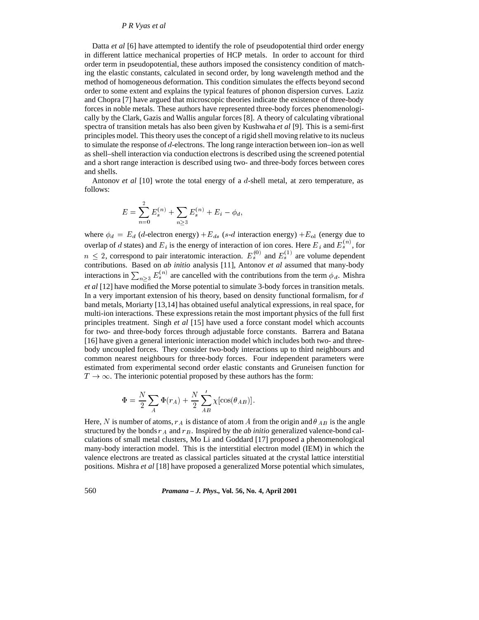## *P R Vyas et al*

Datta *et al* [6] have attempted to identify the role of pseudopotential third order energy in different lattice mechanical properties of HCP metals. In order to account for third order term in pseudopotential, these authors imposed the consistency condition of matching the elastic constants, calculated in second order, by long wavelength method and the method of homogeneous deformation. This condition simulates the effects beyond second order to some extent and explains the typical features of phonon dispersion curves. Laziz and Chopra [7] have argued that microscopic theories indicate the existence of three-body forces in noble metals. These authors have represented three-body forces phenomenologically by the Clark, Gazis and Wallis angular forces [8]. A theory of calculating vibrational spectra of transition metals has also been given by Kushwaha *et al* [9]. This is a semi-first principles model. This theory uses the concept of a rigid shell moving relative to its nucleus to simulate the response of d-electrons. The long range interaction between ion–ion as well as shell–shell interaction via conduction electrons is described using the screened potential and a short range interaction is described using two- and three-body forces between cores and shells.

Antonov *et al* [10] wrote the total energy of a d-shell metal, at zero temperature, as follows:

$$
E = \sum_{n=0}^{2} E_s^{(n)} + \sum_{n \ge 3} E_s^{(n)} + E_i - \phi_d,
$$

where  $\phi_d = E_d$  (d-electron energy)  $+E_{ds}$  (s-d interaction energy)  $+E_{ol}$  (energy due to overlap of d states) and  $E_i$  is the energy of interaction of ion cores. Here  $E_i$  and  $E_s^{(n)}$ , for  $n \leq 2$ , correspond to pair interatomic interaction.  $E_s^{(0)}$  and  $E_s^{(1)}$  are volume dependent contributions. Based on *ab initio* analysis [11], Antonov *et al* assumed that many-body interactions in  $\sum_{n>3} E_s^{(n)}$  are cancelled with the contributions from the term  $\phi_d$ . Mishra *et al* [12] have modified the Morse potential to simulate 3-body forces in transition metals. In a very important extension of his theory, based on density functional formalism, for  $d$ band metals, Moriarty [13,14] has obtained useful analytical expressions, in real space, for multi-ion interactions. These expressions retain the most important physics of the full first principles treatment. Singh *et al* [15] have used a force constant model which accounts for two- and three-body forces through adjustable force constants. Barrera and Batana [16] have given a general interionic interaction model which includes both two- and threebody uncoupled forces. They consider two-body interactions up to third neighbours and common nearest neighbours for three-body forces. Four independent parameters were estimated from experimental second order elastic constants and Gruneisen function for  $T \to \infty$ . The interionic potential proposed by these authors has the form:

$$
\Phi = \frac{N}{2} \sum_{A} \Phi(r_A) + \frac{N}{2} \sum_{AB}^{\prime} \chi[\cos(\theta_{AB})].
$$

Here, N is number of atoms,  $r_A$  is distance of atom A from the origin and  $\theta_{AB}$  is the angle structured by the bonds  $r_A$  and  $r_B$ . Inspired by the *ab initio* generalized valence-bond calculations of small metal clusters, Mo Li and Goddard [17] proposed a phenomenological many-body interaction model. This is the interstitial electron model (IEM) in which the valence electrons are treated as classical particles situated at the crystal lattice interstitial positions. Mishra *et al* [18] have proposed a generalized Morse potential which simulates,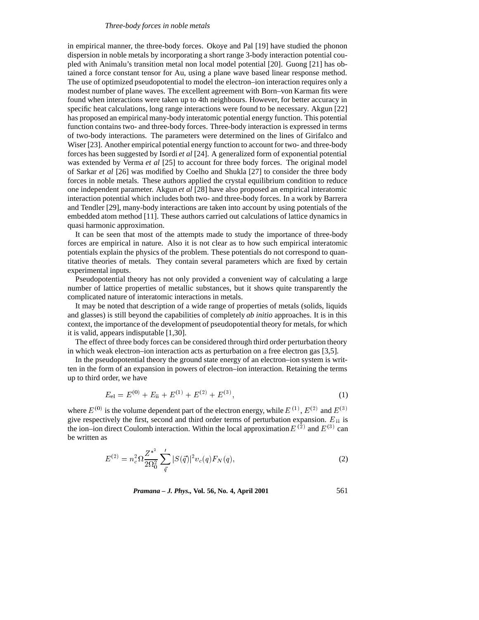#### *Three-body forces in noble metals*

in empirical manner, the three-body forces. Okoye and Pal [19] have studied the phonon dispersion in noble metals by incorporating a short range 3-body interaction potential coupled with Animalu's transition metal non local model potential [20]. Guong [21] has obtained a force constant tensor for Au, using a plane wave based linear response method. The use of optimized pseudopotential to model the electron–ion interaction requires only a modest number of plane waves. The excellent agreement with Born–von Karman fits were found when interactions were taken up to 4th neighbours. However, for better accuracy in specific heat calculations, long range interactions were found to be necessary. Akgun [22] has proposed an empirical many-body interatomic potential energy function. This potential function contains two- and three-body forces. Three-body interaction is expressed in terms of two-body interactions. The parameters were determined on the lines of Girifalco and Wiser [23]. Another empirical potential energy function to account for two- and three-body forces has been suggested by Isordi *et al* [24]. A generalized form of exponential potential was extended by Verma *et al* [25] to account for three body forces. The original model of Sarkar *et al* [26] was modified by Coelho and Shukla [27] to consider the three body forces in noble metals. These authors applied the crystal equilibrium condition to reduce one independent parameter. Akgun *et al* [28] have also proposed an empirical interatomic interaction potential which includes both two- and three-body forces. In a work by Barrera and Tendler [29], many-body interactions are taken into account by using potentials of the embedded atom method [11]. These authors carried out calculations of lattice dynamics in quasi harmonic approximation.

It can be seen that most of the attempts made to study the importance of three-body forces are empirical in nature. Also it is not clear as to how such empirical interatomic potentials explain the physics of the problem. These potentials do not correspond to quantitative theories of metals. They contain several parameters which are fixed by certain experimental inputs.

Pseudopotential theory has not only provided a convenient way of calculating a large number of lattice properties of metallic substances, but it shows quite transparently the complicated nature of interatomic interactions in metals.

It may be noted that description of a wide range of properties of metals (solids, liquids and glasses) is still beyond the capabilities of completely *ab initio* approaches. It is in this context, the importance of the development of pseudopotential theory for metals, for which it is valid, appears indisputable [1,30].

The effect of three body forces can be considered through third order perturbation theory in which weak electron–ion interaction acts as perturbation on a free electron gas [3,5].

In the pseudopotential theory the ground state energy of an electron–ion system is written in the form of an expansion in powers of electron–ion interaction. Retaining the terms up to third order, we have

$$
E_{\rm el} = E^{(0)} + E_{\rm ii} + E^{(1)} + E^{(2)} + E^{(3)},\tag{1}
$$

where  $E^{(0)}$  is the volume dependent part of the electron energy, while  $E^{(1)}$ ,  $E^{(2)}$  and  $E^{(3)}$ give respectively the first, second and third order terms of perturbation expansion.  $E_{\text{ii}}$  is the ion–ion direct Coulomb interaction. Within the local approximation  $E^{(2)}$  and  $E^{(3)}$  can be written as

$$
E^{(2)} = n_c^2 \Omega \frac{Z^{*^2}}{2\Omega_0^2} \sum_{\vec{q}}' |S(\vec{q})|^2 v_c(q) F_N(q), \qquad (2)
$$

*Pramana – J. Phys.,* **Vol. 56, No. 4, April 2001** 561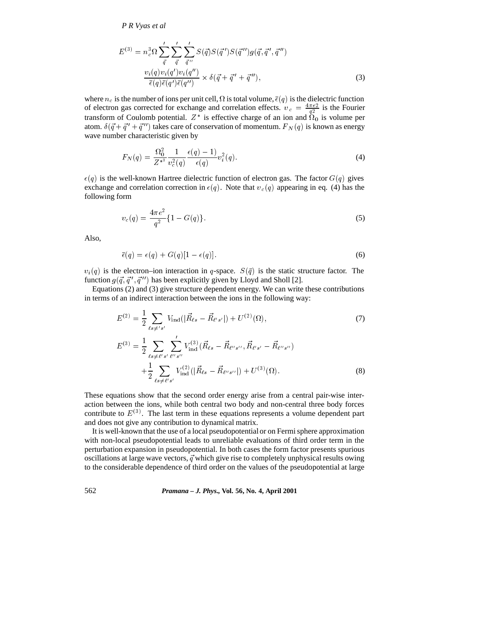*P R Vyas et al*

$$
E^{(3)} = n_e^3 \Omega \sum_{\vec{q}}' \sum_{\vec{q}}' \sum_{\vec{q}''} S(\vec{q}) S(\vec{q}') S(\vec{q}'') g(\vec{q}, \vec{q}', \vec{q}'')
$$
  

$$
\frac{v_i(q) v_i(q') v_i(q'')}{\bar{\epsilon}(q) \bar{\epsilon}(q') \bar{\epsilon}(q'')} \times \delta(\vec{q} + \vec{q}' + \vec{q}''),
$$
 (3)

where  $n_c$  is the number of ions per unit cell,  $\Omega$  is total volume,  $\bar{\epsilon}(q)$  is the dielectric function of electron gas corrected for exchange and correlation effects.  $v_c = \frac{4\pi e^2}{q^2}$  is the Fourier transform of Coulomb potential.  $Z^*$  is effective charge of an ion and  $\overline{\Omega}_0$  is volume per atom.  $\delta(\vec{q} + \vec{q}' + \vec{q}'')$  takes care of conservation of momentum.  $F_N(q)$  is known as energy wave number characteristic given by

$$
F_N(q) = \frac{\Omega_0^2}{Z^{*2}} \frac{1}{v_c^2(q)} \frac{\epsilon(q) - 1}{\epsilon(q)} v_i^2(q).
$$
 (4)

 $\epsilon(q)$  is the well-known Hartree dielectric function of electron gas. The factor  $G(q)$  gives exchange and correlation correction in  $\epsilon(q)$ . Note that  $v_c(q)$  appearing in eq. (4) has the following form

$$
v_c(q) = \frac{4\pi e^2}{q^2} \{1 - G(q)\}.
$$
\n(5)

Also,

$$
\bar{\epsilon}(q) = \epsilon(q) + G(q)[1 - \epsilon(q)]. \tag{6}
$$

 $v_i(q)$  is the electron–ion interaction in q-space.  $S(\bar{q})$  is the static structure factor. The function  $g(\vec{q}, \vec{q}', \vec{q}'')$  has been explicitly given by Lloyd and Sholl [2].

Equations (2) and (3) give structure dependent energy. We can write these contributions in terms of an indirect interaction between the ions in the following way:

$$
E^{(2)} = \frac{1}{2} \sum_{\ell s \neq s'} V_{\text{ind}} (|\vec{R}_{\ell s} - \vec{R}_{\ell' s'}|) + U^{(2)}(\Omega),
$$
  
\n
$$
E^{(3)} = \frac{1}{2} \sum_{\ell s \neq \ell' s'} \sum_{\ell'' s''} V_{\text{ind}}^{(3)} (\vec{R}_{\ell s} - \vec{R}_{\ell'' s''}, \vec{R}_{\ell' s'} - \vec{R}_{\ell'' s''})
$$
\n(7)

$$
+\frac{1}{2}\sum_{\ell s \neq \ell' s'} V_{\text{ind}}^{(2)}(|\vec{R}_{\ell s} - \vec{R}_{\ell'' s''}|) + U^{(3)}(\Omega). \tag{8}
$$

These equations show that the second order energy arise from a central pair-wise interaction between the ions, while both central two body and non-central three body forces contribute to  $E^{(3)}$ . The last term in these equations represents a volume dependent part and does not give any contribution to dynamical matrix.

It is well-known that the use of a local pseudopotential or on Fermi sphere approximation with non-local pseudopotential leads to unreliable evaluations of third order term in the perturbation expansion in pseudopotential. In both cases the form factor presents spurious oscillations at large wave vectors,  $\vec{q}$  which give rise to completely unphysical results owing to the considerable dependence of third order on the values of the pseudopotential at large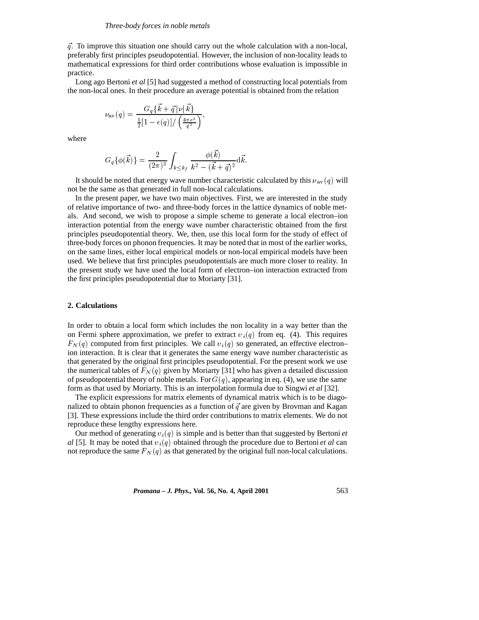$\vec{q}$ . To improve this situation one should carry out the whole calculation with a non-local, preferably first principles pseudopotential. However, the inclusion of non-locality leads to mathematical expressions for third order contributions whose evaluation is impossible in practice.

Long ago Bertoni *et al* [5] had suggested a method of constructing local potentials from the non-local ones. In their procedure an average potential is obtained from the relation

$$
\nu_{\text{av}}\left(q\right)=\frac{G_{q}\{\vec{k}+\vec{q}\left|\nu\right|\vec{k}\}}{\frac{1}{2}[1-\epsilon(q)]/\left(\frac{4\pi e^{2}}{q^{2}}\right)},
$$

where

$$
G_q\{\phi(\vec{k})\} = \frac{2}{(2\pi)^3}\int_{k\leq k_f} \frac{\phi(\vec{k})}{k^2-(\vec{k}+\vec{q})^2}\mathrm{d}\vec{k}.
$$

It should be noted that energy wave number characteristic calculated by this  $\nu_{av}(q)$  will not be the same as that generated in full non-local calculations.

In the present paper, we have two main objectives. First, we are interested in the study of relative importance of two- and three-body forces in the lattice dynamics of noble metals. And second, we wish to propose a simple scheme to generate a local electron–ion interaction potential from the energy wave number characteristic obtained from the first principles pseudopotential theory. We, then, use this local form for the study of effect of three-body forces on phonon frequencies. It may be noted that in most of the earlier works, on the same lines, either local empirical models or non-local empirical models have been used. We believe that first principles pseudopotentials are much more closer to reality. In the present study we have used the local form of electron–ion interaction extracted from the first principles pseudopotential due to Moriarty [31].

## **2. Calculations**

In order to obtain a local form which includes the non locality in a way better than the on Fermi sphere approximation, we prefer to extract  $v_i(q)$  from eq. (4). This requires  $F_N(q)$  computed from first principles. We call  $v_i(q)$  so generated, an effective electron– ion interaction. It is clear that it generates the same energy wave number characteristic as that generated by the original first principles pseudopotential. For the present work we use the numerical tables of  $F_N(q)$  given by Moriarty [31] who has given a detailed discussion of pseudopotential theory of noble metals. For  $G(q)$ , appearing in eq. (4), we use the same form as that used by Moriarty. This is an interpolation formula due to Singwi *et al* [32].

The explicit expressions for matrix elements of dynamical matrix which is to be diagonalized to obtain phonon frequencies as a function of  $\vec{q}$  are given by Brovman and Kagan [3]. These expressions include the third order contributions to matrix elements. We do not reproduce these lengthy expressions here.

Our method of generating  $v_i(q)$  is simple and is better than that suggested by Bertoni *et al* [5]. It may be noted that  $v_i(q)$  obtained through the procedure due to Bertoni *et al* can not reproduce the same  $F_N(q)$  as that generated by the original full non-local calculations.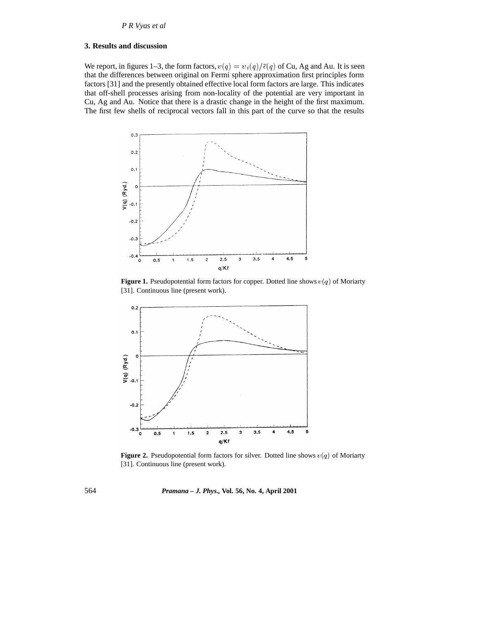# **3. Results and discussion**

We report, in figures 1–3, the form factors,  $v(q) = v_i(q)/\bar{\epsilon}(q)$  of Cu, Ag and Au. It is seen that the differences between original on Fermi sphere approximation first principles form factors [31] and the presently obtained effective local form factors are large. This indicates that off-shell processes arising from non-locality of the potential are very important in Cu, Ag and Au. Notice that there is a drastic change in the height of the first maximum. The first few shells of reciprocal vectors fall in this part of the curve so that the results



**Figure 1.** Pseudopotential form factors for copper. Dotted line shows  $v(q)$  of Moriarty [31]. Continuous line (present work).



**Figure 2.** Pseudopotential form factors for silver. Dotted line shows  $v(q)$  of Moriarty [31]. Continuous line (present work).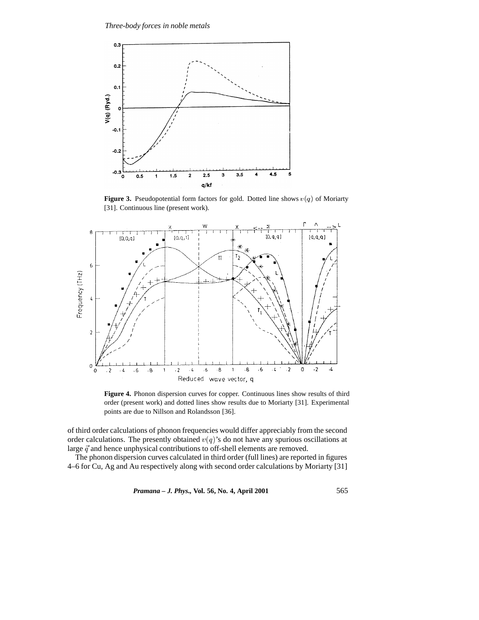

**Figure 3.** Pseudopotential form factors for gold. Dotted line shows  $v(q)$  of Moriarty [31]. Continuous line (present work).



**Figure 4.** Phonon dispersion curves for copper. Continuous lines show results of third order (present work) and dotted lines show results due to Moriarty [31]. Experimental points are due to Nillson and Rolandsson [36].

of third order calculations of phonon frequencies would differ appreciably from the second order calculations. The presently obtained  $v(q)$ 's do not have any spurious oscillations at large  $\vec{q}$  and hence unphysical contributions to off-shell elements are removed.

The phonon dispersion curves calculated in third order (full lines) are reported in figures 4–6 for Cu, Ag and Au respectively along with second order calculations by Moriarty [31]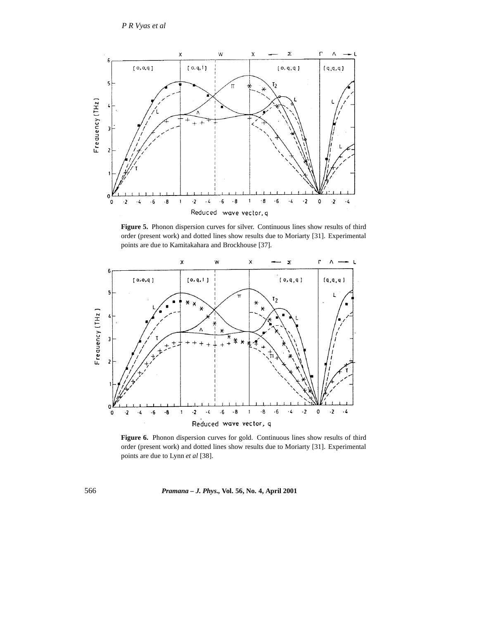

**Figure 5.** Phonon dispersion curves for silver. Continuous lines show results of third order (present work) and dotted lines show results due to Moriarty [31]. Experimental points are due to Kamitakahara and Brockhouse [37].



**Figure 6.** Phonon dispersion curves for gold. Continuous lines show results of third order (present work) and dotted lines show results due to Moriarty [31]. Experimental points are due to Lynn *et al* [38].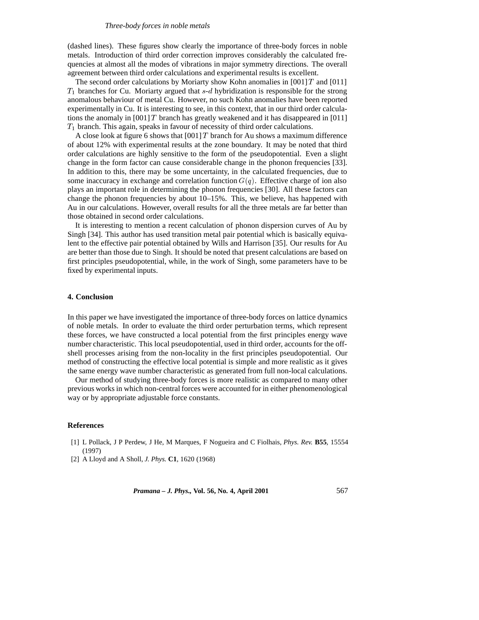## *Three-body forces in noble metals*

(dashed lines). These figures show clearly the importance of three-body forces in noble metals. Introduction of third order correction improves considerably the calculated frequencies at almost all the modes of vibrations in major symmetry directions. The overall agreement between third order calculations and experimental results is excellent.

The second order calculations by Moriarty show Kohn anomalies in  $[001]T$  and  $[011]$  $T_1$  branches for Cu. Moriarty argued that s-d hybridization is responsible for the strong anomalous behaviour of metal Cu. However, no such Kohn anomalies have been reported experimentally in Cu. It is interesting to see, in this context, that in our third order calculations the anomaly in [001] T branch has greatly weakened and it has disappeared in [011]  $T_1$  branch. This again, speaks in favour of necessity of third order calculations.

A close look at figure 6 shows that  $[001] T$  branch for Au shows a maximum difference of about 12% with experimental results at the zone boundary. It may be noted that third order calculations are highly sensitive to the form of the pseudopotential. Even a slight change in the form factor can cause considerable change in the phonon frequencies [33]. In addition to this, there may be some uncertainty, in the calculated frequencies, due to some inaccuracy in exchange and correlation function  $G(q)$ . Effective charge of ion also plays an important role in determining the phonon frequencies [30]. All these factors can change the phonon frequencies by about 10–15%. This, we believe, has happened with Au in our calculations. However, overall results for all the three metals are far better than those obtained in second order calculations.

It is interesting to mention a recent calculation of phonon dispersion curves of Au by Singh [34]. This author has used transition metal pair potential which is basically equivalent to the effective pair potential obtained by Wills and Harrison [35]. Our results for Au are better than those due to Singh. It should be noted that present calculations are based on first principles pseudopotential, while, in the work of Singh, some parameters have to be fixed by experimental inputs.

## **4. Conclusion**

In this paper we have investigated the importance of three-body forces on lattice dynamics of noble metals. In order to evaluate the third order perturbation terms, which represent these forces, we have constructed a local potential from the first principles energy wave number characteristic. This local pseudopotential, used in third order, accounts for the offshell processes arising from the non-locality in the first principles pseudopotential. Our method of constructing the effective local potential is simple and more realistic as it gives the same energy wave number characteristic as generated from full non-local calculations.

Our method of studying three-body forces is more realistic as compared to many other previous works in which non-central forces were accounted for in either phenomenological way or by appropriate adjustable force constants.

# **References**

- [1] L Pollack, J P Perdew, J He, M Marques, F Nogueira and C Fiolhais, *Phys. Rev.* **B55**, 15554 (1997)
- [2] A Lloyd and A Sholl, *J. Phys.* **C1**, 1620 (1968)